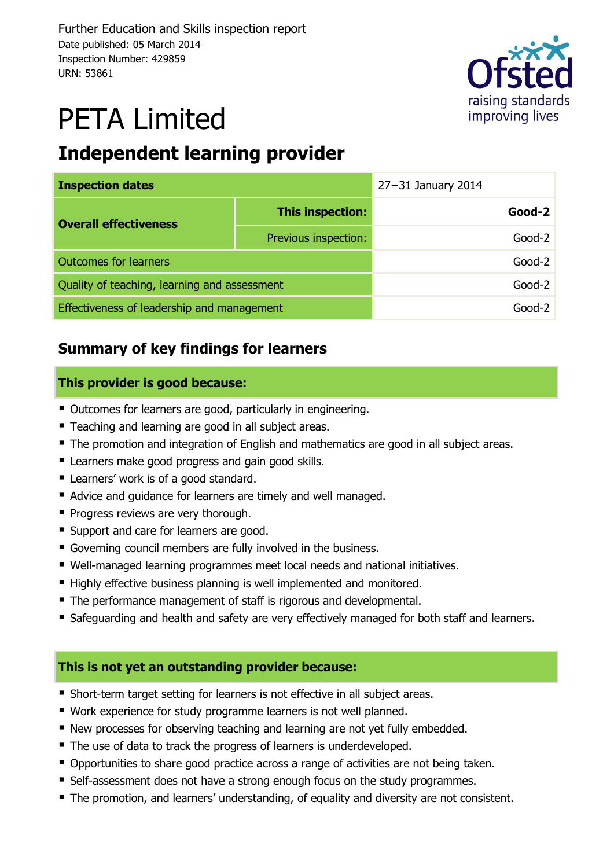

# PETA Limited

## **Independent learning provider**

| <b>Inspection dates</b>                      | $27 - 31$ January 2014 |          |          |
|----------------------------------------------|------------------------|----------|----------|
| <b>Overall effectiveness</b>                 | This inspection:       |          | $Good-2$ |
|                                              | Previous inspection:   |          | $Good-2$ |
| <b>Outcomes for learners</b>                 |                        | $Good-2$ |          |
| Quality of teaching, learning and assessment |                        | $Good-2$ |          |
| Effectiveness of leadership and management   |                        | Good-2   |          |

### **Summary of key findings for learners**

### **This provider is good because:**

- Outcomes for learners are good, particularly in engineering.
- **Teaching and learning are good in all subject areas.**
- The promotion and integration of English and mathematics are good in all subject areas.
- **E** Learners make good progress and gain good skills.
- **Learners' work is of a good standard.**
- Advice and guidance for learners are timely and well managed.
- Progress reviews are very thorough.
- **Support and care for learners are good.**
- Governing council members are fully involved in the business.
- Well-managed learning programmes meet local needs and national initiatives.
- Highly effective business planning is well implemented and monitored.
- The performance management of staff is rigorous and developmental.
- Safeguarding and health and safety are very effectively managed for both staff and learners.

### **This is not yet an outstanding provider because:**

- Short-term target setting for learners is not effective in all subject areas.
- Work experience for study programme learners is not well planned.
- New processes for observing teaching and learning are not yet fully embedded.
- The use of data to track the progress of learners is underdeveloped.
- Opportunities to share good practice across a range of activities are not being taken.
- Self-assessment does not have a strong enough focus on the study programmes.
- The promotion, and learners' understanding, of equality and diversity are not consistent.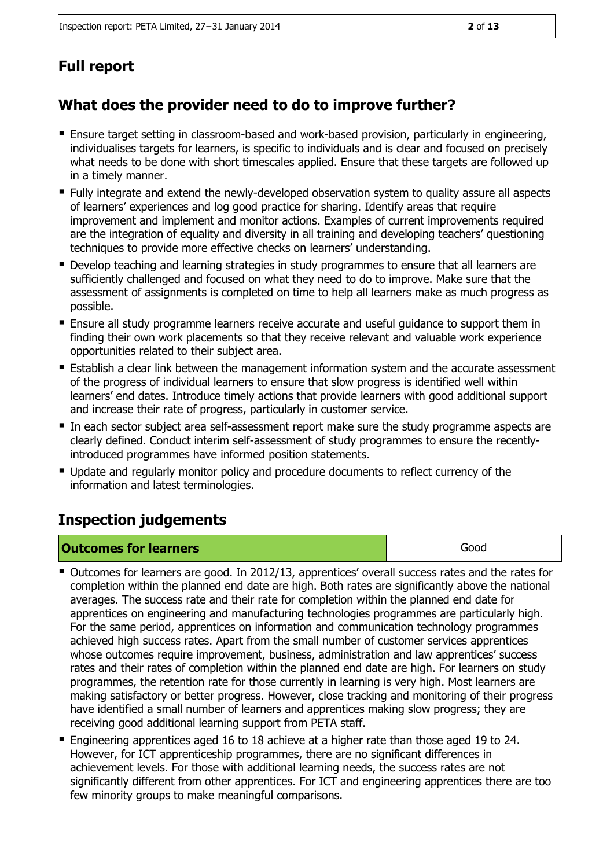## **Full report**

## **What does the provider need to do to improve further?**

- Ensure target setting in classroom-based and work-based provision, particularly in engineering, individualises targets for learners, is specific to individuals and is clear and focused on precisely what needs to be done with short timescales applied. Ensure that these targets are followed up in a timely manner.
- Fully integrate and extend the newly-developed observation system to quality assure all aspects of learners' experiences and log good practice for sharing. Identify areas that require improvement and implement and monitor actions. Examples of current improvements required are the integration of equality and diversity in all training and developing teachers' questioning techniques to provide more effective checks on learners' understanding.
- **Develop teaching and learning strategies in study programmes to ensure that all learners are** sufficiently challenged and focused on what they need to do to improve. Make sure that the assessment of assignments is completed on time to help all learners make as much progress as possible.
- Ensure all study programme learners receive accurate and useful guidance to support them in finding their own work placements so that they receive relevant and valuable work experience opportunities related to their subject area.
- **E** Establish a clear link between the management information system and the accurate assessment of the progress of individual learners to ensure that slow progress is identified well within learners' end dates. Introduce timely actions that provide learners with good additional support and increase their rate of progress, particularly in customer service.
- In each sector subject area self-assessment report make sure the study programme aspects are clearly defined. Conduct interim self-assessment of study programmes to ensure the recentlyintroduced programmes have informed position statements.
- Update and regularly monitor policy and procedure documents to reflect currency of the information and latest terminologies.

### **Inspection judgements**

| <b>Outcomes for learners</b> | Good |
|------------------------------|------|
|                              |      |

- Outcomes for learners are good. In 2012/13, apprentices' overall success rates and the rates for completion within the planned end date are high. Both rates are significantly above the national averages. The success rate and their rate for completion within the planned end date for apprentices on engineering and manufacturing technologies programmes are particularly high. For the same period, apprentices on information and communication technology programmes achieved high success rates. Apart from the small number of customer services apprentices whose outcomes require improvement, business, administration and law apprentices' success rates and their rates of completion within the planned end date are high. For learners on study programmes, the retention rate for those currently in learning is very high. Most learners are making satisfactory or better progress. However, close tracking and monitoring of their progress have identified a small number of learners and apprentices making slow progress; they are receiving good additional learning support from PETA staff.
- Engineering apprentices aged 16 to 18 achieve at a higher rate than those aged 19 to 24. However, for ICT apprenticeship programmes, there are no significant differences in achievement levels. For those with additional learning needs, the success rates are not significantly different from other apprentices. For ICT and engineering apprentices there are too few minority groups to make meaningful comparisons.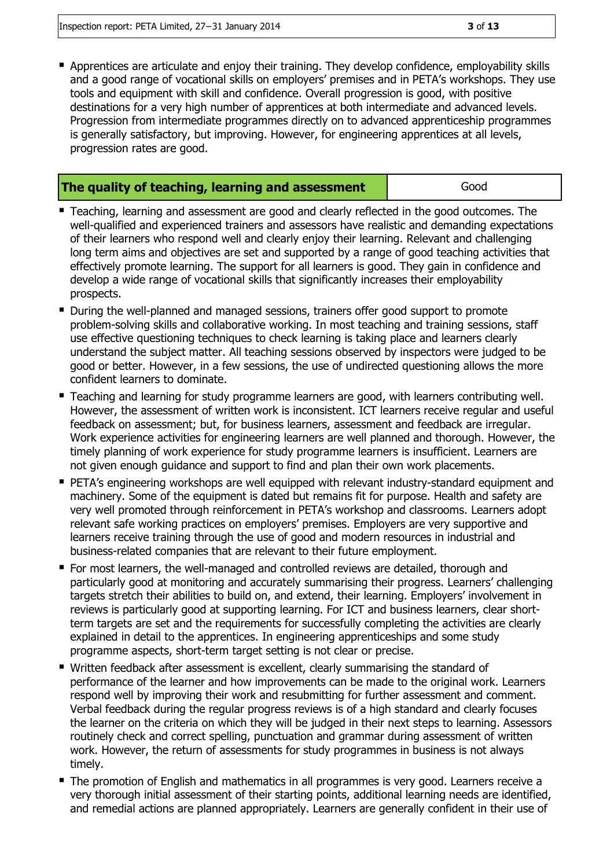Apprentices are articulate and enjoy their training. They develop confidence, employability skills and a good range of vocational skills on employers' premises and in PETA's workshops. They use tools and equipment with skill and confidence. Overall progression is good, with positive destinations for a very high number of apprentices at both intermediate and advanced levels. Progression from intermediate programmes directly on to advanced apprenticeship programmes is generally satisfactory, but improving. However, for engineering apprentices at all levels, progression rates are good.

#### **The quality of teaching, learning and assessment department cood Good**

- Teaching, learning and assessment are good and clearly reflected in the good outcomes. The well-qualified and experienced trainers and assessors have realistic and demanding expectations of their learners who respond well and clearly enjoy their learning. Relevant and challenging long term aims and objectives are set and supported by a range of good teaching activities that effectively promote learning. The support for all learners is good. They gain in confidence and develop a wide range of vocational skills that significantly increases their employability prospects.
- **During the well-planned and managed sessions, trainers offer good support to promote** problem-solving skills and collaborative working. In most teaching and training sessions, staff use effective questioning techniques to check learning is taking place and learners clearly understand the subject matter. All teaching sessions observed by inspectors were judged to be good or better. However, in a few sessions, the use of undirected questioning allows the more confident learners to dominate.
- **Teaching and learning for study programme learners are good, with learners contributing well.** However, the assessment of written work is inconsistent. ICT learners receive regular and useful feedback on assessment; but, for business learners, assessment and feedback are irregular. Work experience activities for engineering learners are well planned and thorough. However, the timely planning of work experience for study programme learners is insufficient. Learners are not given enough guidance and support to find and plan their own work placements.
- PETA's engineering workshops are well equipped with relevant industry-standard equipment and machinery. Some of the equipment is dated but remains fit for purpose. Health and safety are very well promoted through reinforcement in PETA's workshop and classrooms. Learners adopt relevant safe working practices on employers' premises. Employers are very supportive and learners receive training through the use of good and modern resources in industrial and business-related companies that are relevant to their future employment.
- For most learners, the well-managed and controlled reviews are detailed, thorough and particularly good at monitoring and accurately summarising their progress. Learners' challenging targets stretch their abilities to build on, and extend, their learning. Employers' involvement in reviews is particularly good at supporting learning. For ICT and business learners, clear shortterm targets are set and the requirements for successfully completing the activities are clearly explained in detail to the apprentices. In engineering apprenticeships and some study programme aspects, short-term target setting is not clear or precise.
- Written feedback after assessment is excellent, clearly summarising the standard of performance of the learner and how improvements can be made to the original work. Learners respond well by improving their work and resubmitting for further assessment and comment. Verbal feedback during the regular progress reviews is of a high standard and clearly focuses the learner on the criteria on which they will be judged in their next steps to learning. Assessors routinely check and correct spelling, punctuation and grammar during assessment of written work. However, the return of assessments for study programmes in business is not always timely.
- **The promotion of English and mathematics in all programmes is very good. Learners receive a** very thorough initial assessment of their starting points, additional learning needs are identified, and remedial actions are planned appropriately. Learners are generally confident in their use of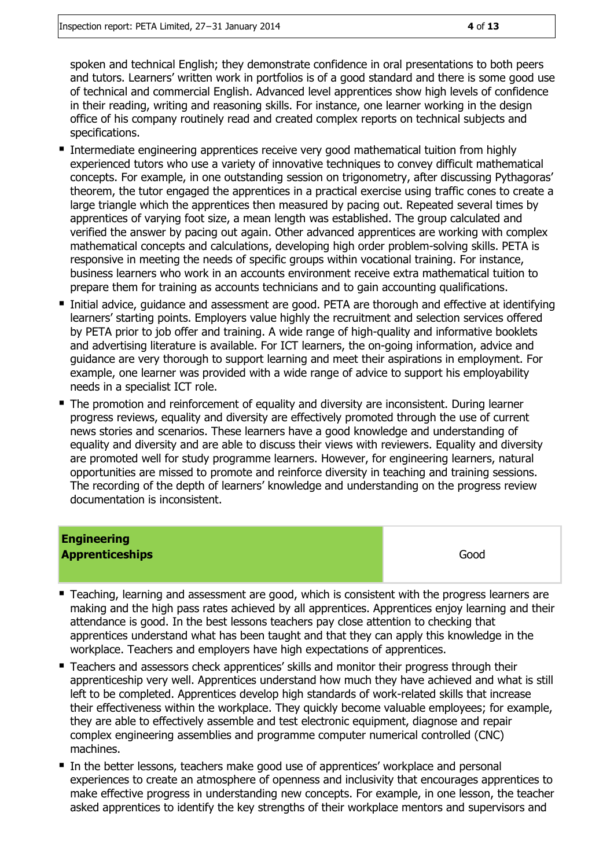spoken and technical English; they demonstrate confidence in oral presentations to both peers and tutors. Learners' written work in portfolios is of a good standard and there is some good use of technical and commercial English. Advanced level apprentices show high levels of confidence in their reading, writing and reasoning skills. For instance, one learner working in the design office of his company routinely read and created complex reports on technical subjects and specifications.

- Intermediate engineering apprentices receive very good mathematical tuition from highly experienced tutors who use a variety of innovative techniques to convey difficult mathematical concepts. For example, in one outstanding session on trigonometry, after discussing Pythagoras' theorem, the tutor engaged the apprentices in a practical exercise using traffic cones to create a large triangle which the apprentices then measured by pacing out. Repeated several times by apprentices of varying foot size, a mean length was established. The group calculated and verified the answer by pacing out again. Other advanced apprentices are working with complex mathematical concepts and calculations, developing high order problem-solving skills. PETA is responsive in meeting the needs of specific groups within vocational training. For instance, business learners who work in an accounts environment receive extra mathematical tuition to prepare them for training as accounts technicians and to gain accounting qualifications.
- Initial advice, guidance and assessment are good. PETA are thorough and effective at identifying learners' starting points. Employers value highly the recruitment and selection services offered by PETA prior to job offer and training. A wide range of high-quality and informative booklets and advertising literature is available. For ICT learners, the on-going information, advice and guidance are very thorough to support learning and meet their aspirations in employment. For example, one learner was provided with a wide range of advice to support his employability needs in a specialist ICT role.
- **The promotion and reinforcement of equality and diversity are inconsistent. During learner** progress reviews, equality and diversity are effectively promoted through the use of current news stories and scenarios. These learners have a good knowledge and understanding of equality and diversity and are able to discuss their views with reviewers. Equality and diversity are promoted well for study programme learners. However, for engineering learners, natural opportunities are missed to promote and reinforce diversity in teaching and training sessions. The recording of the depth of learners' knowledge and understanding on the progress review documentation is inconsistent.

## **Engineering Apprenticeships** Good

- **Teaching, learning and assessment are good, which is consistent with the progress learners are** making and the high pass rates achieved by all apprentices. Apprentices enjoy learning and their attendance is good. In the best lessons teachers pay close attention to checking that apprentices understand what has been taught and that they can apply this knowledge in the workplace. Teachers and employers have high expectations of apprentices.
- Teachers and assessors check apprentices' skills and monitor their progress through their apprenticeship very well. Apprentices understand how much they have achieved and what is still left to be completed. Apprentices develop high standards of work-related skills that increase their effectiveness within the workplace. They quickly become valuable employees; for example, they are able to effectively assemble and test electronic equipment, diagnose and repair complex engineering assemblies and programme computer numerical controlled (CNC) machines.
- In the better lessons, teachers make good use of apprentices' workplace and personal experiences to create an atmosphere of openness and inclusivity that encourages apprentices to make effective progress in understanding new concepts. For example, in one lesson, the teacher asked apprentices to identify the key strengths of their workplace mentors and supervisors and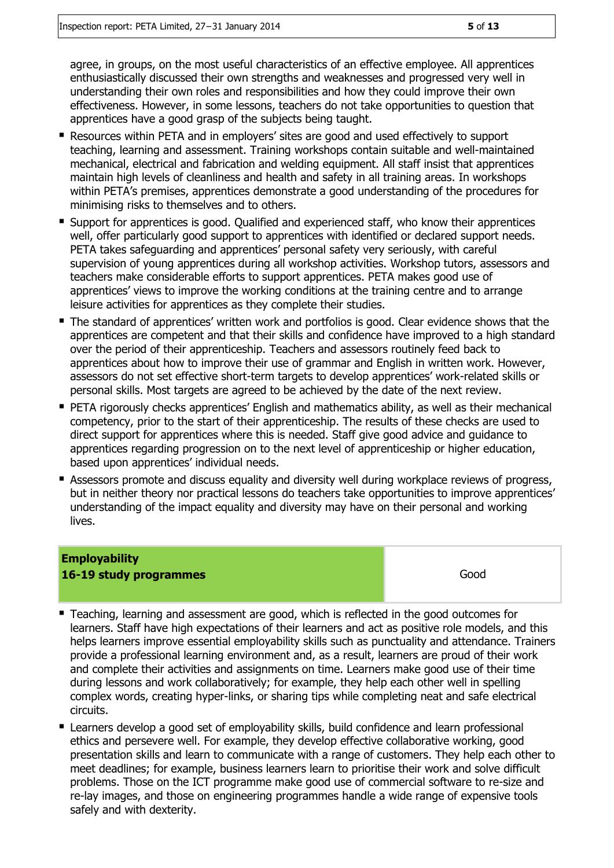agree, in groups, on the most useful characteristics of an effective employee. All apprentices enthusiastically discussed their own strengths and weaknesses and progressed very well in understanding their own roles and responsibilities and how they could improve their own effectiveness. However, in some lessons, teachers do not take opportunities to question that apprentices have a good grasp of the subjects being taught.

- Resources within PETA and in employers' sites are good and used effectively to support teaching, learning and assessment. Training workshops contain suitable and well-maintained mechanical, electrical and fabrication and welding equipment. All staff insist that apprentices maintain high levels of cleanliness and health and safety in all training areas. In workshops within PETA's premises, apprentices demonstrate a good understanding of the procedures for minimising risks to themselves and to others.
- Support for apprentices is good. Qualified and experienced staff, who know their apprentices well, offer particularly good support to apprentices with identified or declared support needs. PETA takes safeguarding and apprentices' personal safety very seriously, with careful supervision of young apprentices during all workshop activities. Workshop tutors, assessors and teachers make considerable efforts to support apprentices. PETA makes good use of apprentices' views to improve the working conditions at the training centre and to arrange leisure activities for apprentices as they complete their studies.
- The standard of apprentices' written work and portfolios is good. Clear evidence shows that the apprentices are competent and that their skills and confidence have improved to a high standard over the period of their apprenticeship. Teachers and assessors routinely feed back to apprentices about how to improve their use of grammar and English in written work. However, assessors do not set effective short-term targets to develop apprentices' work-related skills or personal skills. Most targets are agreed to be achieved by the date of the next review.
- **PETA rigorously checks apprentices' English and mathematics ability, as well as their mechanical** competency, prior to the start of their apprenticeship. The results of these checks are used to direct support for apprentices where this is needed. Staff give good advice and guidance to apprentices regarding progression on to the next level of apprenticeship or higher education, based upon apprentices' individual needs.
- **E** Assessors promote and discuss equality and diversity well during workplace reviews of progress, but in neither theory nor practical lessons do teachers take opportunities to improve apprentices' understanding of the impact equality and diversity may have on their personal and working lives.

### **Employability 16-19 study programmes** Good

- **Teaching, learning and assessment are good, which is reflected in the good outcomes for** learners. Staff have high expectations of their learners and act as positive role models, and this helps learners improve essential employability skills such as punctuality and attendance. Trainers provide a professional learning environment and, as a result, learners are proud of their work and complete their activities and assignments on time. Learners make good use of their time during lessons and work collaboratively; for example, they help each other well in spelling complex words, creating hyper-links, or sharing tips while completing neat and safe electrical circuits.
- **E** Learners develop a good set of employability skills, build confidence and learn professional ethics and persevere well. For example, they develop effective collaborative working, good presentation skills and learn to communicate with a range of customers. They help each other to meet deadlines; for example, business learners learn to prioritise their work and solve difficult problems. Those on the ICT programme make good use of commercial software to re-size and re-lay images, and those on engineering programmes handle a wide range of expensive tools safely and with dexterity.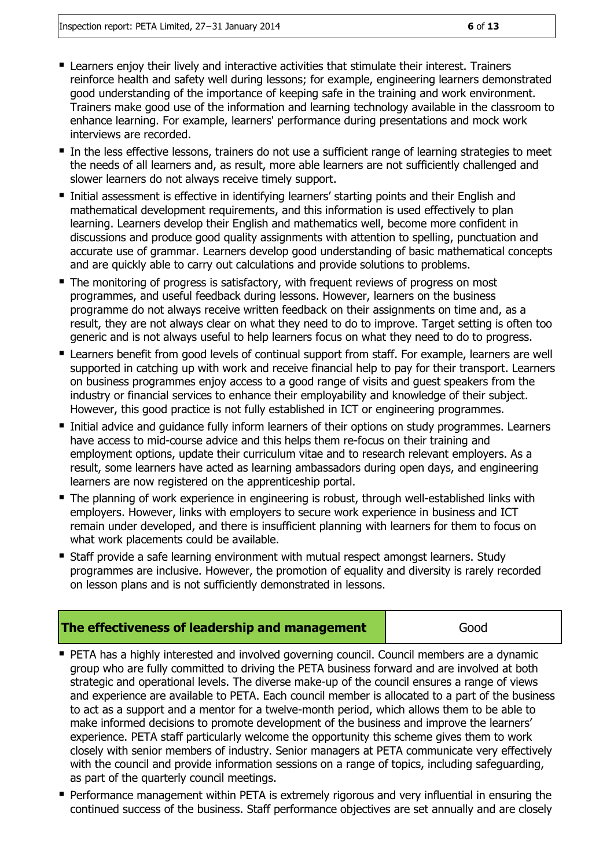- Learners enjoy their lively and interactive activities that stimulate their interest. Trainers reinforce health and safety well during lessons; for example, engineering learners demonstrated good understanding of the importance of keeping safe in the training and work environment. Trainers make good use of the information and learning technology available in the classroom to enhance learning. For example, learners' performance during presentations and mock work interviews are recorded.
- In the less effective lessons, trainers do not use a sufficient range of learning strategies to meet the needs of all learners and, as result, more able learners are not sufficiently challenged and slower learners do not always receive timely support.
- Initial assessment is effective in identifying learners' starting points and their English and mathematical development requirements, and this information is used effectively to plan learning. Learners develop their English and mathematics well, become more confident in discussions and produce good quality assignments with attention to spelling, punctuation and accurate use of grammar. Learners develop good understanding of basic mathematical concepts and are quickly able to carry out calculations and provide solutions to problems.
- The monitoring of progress is satisfactory, with frequent reviews of progress on most programmes, and useful feedback during lessons. However, learners on the business programme do not always receive written feedback on their assignments on time and, as a result, they are not always clear on what they need to do to improve. Target setting is often too generic and is not always useful to help learners focus on what they need to do to progress.
- **EXTER 1** Learners benefit from good levels of continual support from staff. For example, learners are well supported in catching up with work and receive financial help to pay for their transport. Learners on business programmes enjoy access to a good range of visits and guest speakers from the industry or financial services to enhance their employability and knowledge of their subject. However, this good practice is not fully established in ICT or engineering programmes.
- **Initial advice and guidance fully inform learners of their options on study programmes. Learners** have access to mid-course advice and this helps them re-focus on their training and employment options, update their curriculum vitae and to research relevant employers. As a result, some learners have acted as learning ambassadors during open days, and engineering learners are now registered on the apprenticeship portal.
- The planning of work experience in engineering is robust, through well-established links with employers. However, links with employers to secure work experience in business and ICT remain under developed, and there is insufficient planning with learners for them to focus on what work placements could be available.
- **Staff provide a safe learning environment with mutual respect amongst learners. Study** programmes are inclusive. However, the promotion of equality and diversity is rarely recorded on lesson plans and is not sufficiently demonstrated in lessons.

| The effectiveness of leadership and management | Good |
|------------------------------------------------|------|
|------------------------------------------------|------|

- **PETA has a highly interested and involved governing council. Council members are a dynamic** group who are fully committed to driving the PETA business forward and are involved at both strategic and operational levels. The diverse make-up of the council ensures a range of views and experience are available to PETA. Each council member is allocated to a part of the business to act as a support and a mentor for a twelve-month period, which allows them to be able to make informed decisions to promote development of the business and improve the learners' experience. PETA staff particularly welcome the opportunity this scheme gives them to work closely with senior members of industry. Senior managers at PETA communicate very effectively with the council and provide information sessions on a range of topics, including safeguarding, as part of the quarterly council meetings.
- **Performance management within PETA is extremely rigorous and very influential in ensuring the** continued success of the business. Staff performance objectives are set annually and are closely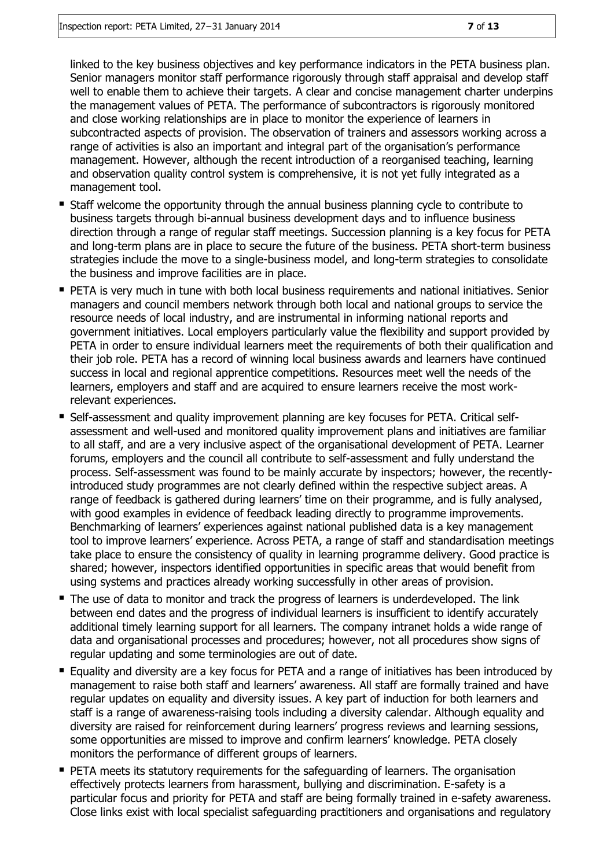linked to the key business objectives and key performance indicators in the PETA business plan. Senior managers monitor staff performance rigorously through staff appraisal and develop staff well to enable them to achieve their targets. A clear and concise management charter underpins the management values of PETA. The performance of subcontractors is rigorously monitored and close working relationships are in place to monitor the experience of learners in subcontracted aspects of provision. The observation of trainers and assessors working across a range of activities is also an important and integral part of the organisation's performance management. However, although the recent introduction of a reorganised teaching, learning and observation quality control system is comprehensive, it is not yet fully integrated as a management tool.

- Staff welcome the opportunity through the annual business planning cycle to contribute to business targets through bi-annual business development days and to influence business direction through a range of regular staff meetings. Succession planning is a key focus for PETA and long-term plans are in place to secure the future of the business. PETA short-term business strategies include the move to a single-business model, and long-term strategies to consolidate the business and improve facilities are in place.
- **PETA is very much in tune with both local business requirements and national initiatives. Senior** managers and council members network through both local and national groups to service the resource needs of local industry, and are instrumental in informing national reports and government initiatives. Local employers particularly value the flexibility and support provided by PETA in order to ensure individual learners meet the requirements of both their qualification and their job role. PETA has a record of winning local business awards and learners have continued success in local and regional apprentice competitions. Resources meet well the needs of the learners, employers and staff and are acquired to ensure learners receive the most workrelevant experiences.
- Self-assessment and quality improvement planning are key focuses for PETA. Critical selfassessment and well-used and monitored quality improvement plans and initiatives are familiar to all staff, and are a very inclusive aspect of the organisational development of PETA. Learner forums, employers and the council all contribute to self-assessment and fully understand the process. Self-assessment was found to be mainly accurate by inspectors; however, the recentlyintroduced study programmes are not clearly defined within the respective subject areas. A range of feedback is gathered during learners' time on their programme, and is fully analysed, with good examples in evidence of feedback leading directly to programme improvements. Benchmarking of learners' experiences against national published data is a key management tool to improve learners' experience. Across PETA, a range of staff and standardisation meetings take place to ensure the consistency of quality in learning programme delivery. Good practice is shared; however, inspectors identified opportunities in specific areas that would benefit from using systems and practices already working successfully in other areas of provision.
- The use of data to monitor and track the progress of learners is underdeveloped. The link between end dates and the progress of individual learners is insufficient to identify accurately additional timely learning support for all learners. The company intranet holds a wide range of data and organisational processes and procedures; however, not all procedures show signs of regular updating and some terminologies are out of date.
- Equality and diversity are a key focus for PETA and a range of initiatives has been introduced by management to raise both staff and learners' awareness. All staff are formally trained and have regular updates on equality and diversity issues. A key part of induction for both learners and staff is a range of awareness-raising tools including a diversity calendar. Although equality and diversity are raised for reinforcement during learners' progress reviews and learning sessions, some opportunities are missed to improve and confirm learners' knowledge. PETA closely monitors the performance of different groups of learners.
- **PETA meets its statutory requirements for the safeguarding of learners. The organisation** effectively protects learners from harassment, bullying and discrimination. E-safety is a particular focus and priority for PETA and staff are being formally trained in e-safety awareness. Close links exist with local specialist safeguarding practitioners and organisations and regulatory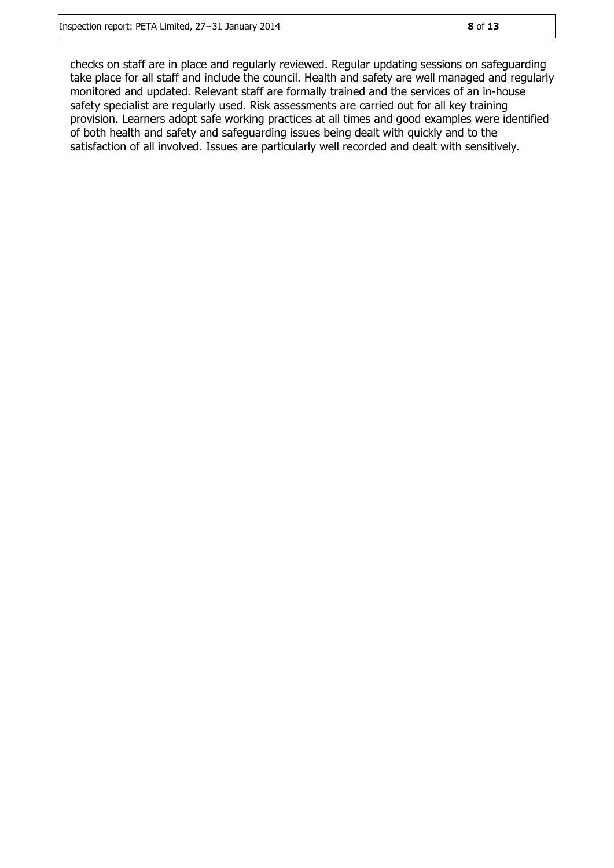checks on staff are in place and regularly reviewed. Regular updating sessions on safeguarding take place for all staff and include the council. Health and safety are well managed and regularly monitored and updated. Relevant staff are formally trained and the services of an in-house safety specialist are regularly used. Risk assessments are carried out for all key training provision. Learners adopt safe working practices at all times and good examples were identified of both health and safety and safeguarding issues being dealt with quickly and to the satisfaction of all involved. Issues are particularly well recorded and dealt with sensitively.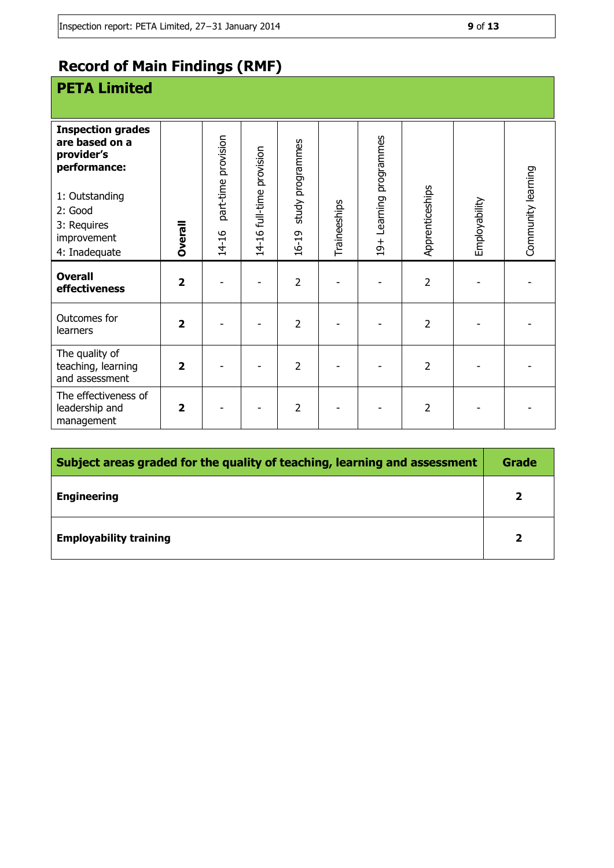## **Record of Main Findings (RMF)**

## **PETA Limited**

| <b>Inspection grades</b><br>are based on a<br>provider's<br>performance:<br>1: Outstanding<br>2: Good<br>3: Requires<br>improvement<br>4: Inadequate | <b>Dverall</b>          | part-time provision<br>14-16 | 14-16 full-time provision | study programmes<br>16-19 | Traineeships | Learning programmes<br>$19+$ | Apprenticeships | Employability | Community learning |
|------------------------------------------------------------------------------------------------------------------------------------------------------|-------------------------|------------------------------|---------------------------|---------------------------|--------------|------------------------------|-----------------|---------------|--------------------|
| <b>Overall</b><br>effectiveness                                                                                                                      | $\overline{2}$          |                              |                           | $\overline{2}$            |              |                              | $\overline{2}$  |               |                    |
| Outcomes for<br>learners                                                                                                                             | $\overline{2}$          |                              |                           | $\overline{2}$            |              |                              | $\overline{2}$  |               |                    |
| The quality of<br>teaching, learning<br>and assessment                                                                                               | $\overline{\mathbf{2}}$ |                              |                           | $\overline{2}$            |              |                              | $\overline{2}$  |               |                    |
| The effectiveness of<br>leadership and<br>management                                                                                                 | $\overline{\mathbf{2}}$ |                              |                           | 2                         |              |                              | 2               |               |                    |

| Subject areas graded for the quality of teaching, learning and assessment |   |  |
|---------------------------------------------------------------------------|---|--|
| <b>Engineering</b>                                                        | C |  |
| <b>Employability training</b>                                             |   |  |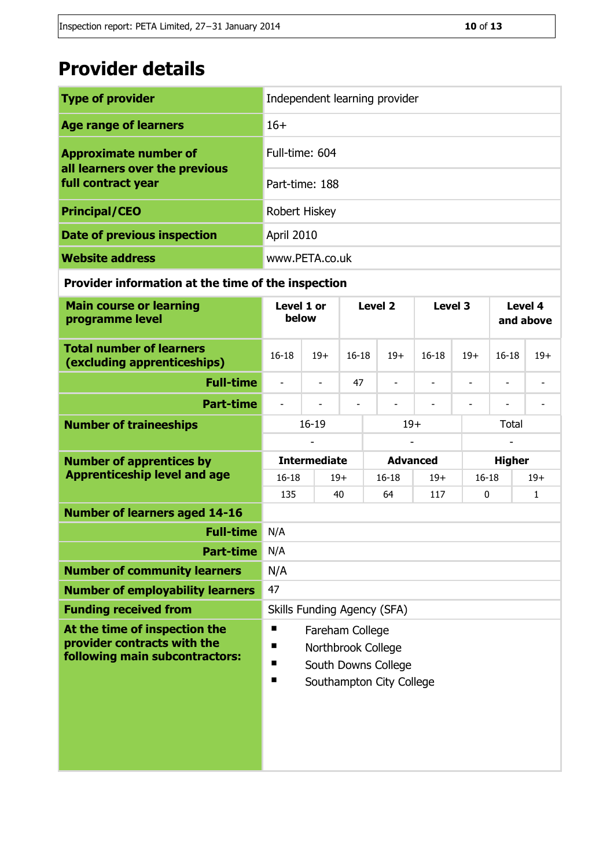## **Provider details**

| <b>Type of provider</b>                                        | Independent learning provider |
|----------------------------------------------------------------|-------------------------------|
| <b>Age range of learners</b>                                   | $16+$                         |
| <b>Approximate number of</b><br>all learners over the previous | Full-time: 604                |
| full contract year                                             | Part-time: 188                |
| <b>Principal/CEO</b>                                           | Robert Hiskey                 |
| Date of previous inspection                                    | April 2010                    |
| <b>Website address</b>                                         | www.PETA.co.uk                |

### **Provider information at the time of the inspection**

| <b>Main course or learning</b><br>programme level                                              | Level 1 or<br>below                                                                                          |                          | Level <sub>2</sub> |                          |                 | Level 3          |                          | Level 4<br>and above     |       |
|------------------------------------------------------------------------------------------------|--------------------------------------------------------------------------------------------------------------|--------------------------|--------------------|--------------------------|-----------------|------------------|--------------------------|--------------------------|-------|
| <b>Total number of learners</b><br>(excluding apprenticeships)                                 | $16 - 18$<br>$19+$                                                                                           |                          | $16 - 18$<br>$19+$ |                          |                 | $16-18$<br>$19+$ |                          | $16 - 18$                | $19+$ |
| <b>Full-time</b>                                                                               | $\frac{1}{2}$                                                                                                | $\overline{\phantom{a}}$ | 47                 | $\overline{\phantom{a}}$ |                 |                  | $\overline{\phantom{0}}$ | $\overline{\phantom{0}}$ | L     |
| <b>Part-time</b>                                                                               | $\overline{\phantom{a}}$                                                                                     |                          |                    | $\overline{\phantom{a}}$ |                 |                  | $\overline{\phantom{a}}$ |                          |       |
| <b>Number of traineeships</b>                                                                  | $16 - 19$                                                                                                    |                          |                    |                          | $19+$           |                  |                          | <b>Total</b>             |       |
|                                                                                                |                                                                                                              |                          |                    |                          |                 |                  |                          |                          |       |
| <b>Number of apprentices by</b>                                                                |                                                                                                              | <b>Intermediate</b>      |                    |                          | <b>Advanced</b> |                  |                          | <b>Higher</b>            |       |
| <b>Apprenticeship level and age</b>                                                            | $16 - 18$                                                                                                    |                          | $19+$              |                          | $16 - 18$       | $19+$            |                          | $16 - 18$                | $19+$ |
|                                                                                                | 135                                                                                                          |                          | 40                 |                          | 64<br>117       |                  |                          | 0                        |       |
| <b>Number of learners aged 14-16</b>                                                           |                                                                                                              |                          |                    |                          |                 |                  |                          |                          |       |
| <b>Full-time</b>                                                                               | N/A                                                                                                          |                          |                    |                          |                 |                  |                          |                          |       |
| <b>Part-time</b>                                                                               | N/A                                                                                                          |                          |                    |                          |                 |                  |                          |                          |       |
| <b>Number of community learners</b>                                                            | N/A                                                                                                          |                          |                    |                          |                 |                  |                          |                          |       |
| <b>Number of employability learners</b>                                                        | 47                                                                                                           |                          |                    |                          |                 |                  |                          |                          |       |
| <b>Funding received from</b>                                                                   | Skills Funding Agency (SFA)                                                                                  |                          |                    |                          |                 |                  |                          |                          |       |
| At the time of inspection the<br>provider contracts with the<br>following main subcontractors: | п<br>Fareham College<br>п<br>Northbrook College<br>п<br>South Downs College<br>п<br>Southampton City College |                          |                    |                          |                 |                  |                          |                          |       |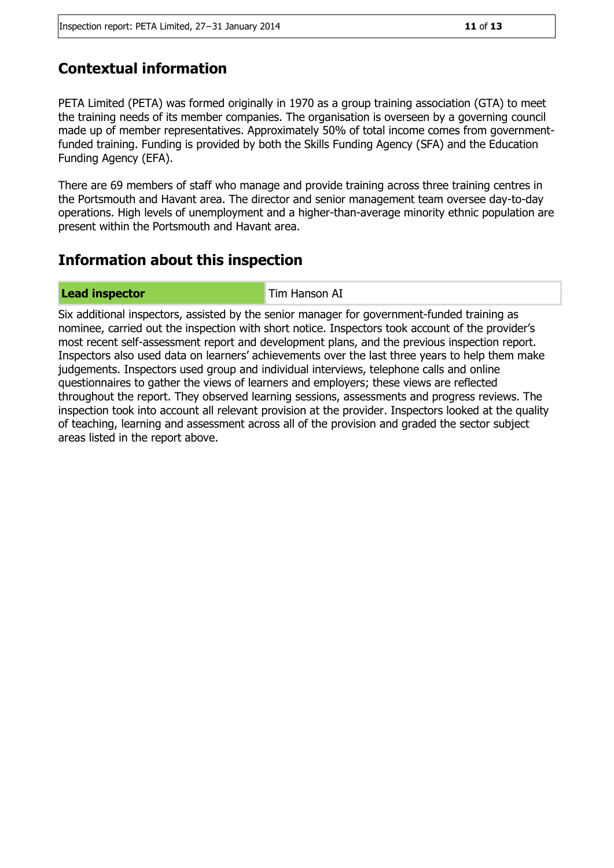### **Contextual information**

PETA Limited (PETA) was formed originally in 1970 as a group training association (GTA) to meet the training needs of its member companies. The organisation is overseen by a governing council made up of member representatives. Approximately 50% of total income comes from governmentfunded training. Funding is provided by both the Skills Funding Agency (SFA) and the Education Funding Agency (EFA).

There are 69 members of staff who manage and provide training across three training centres in the Portsmouth and Havant area. The director and senior management team oversee day-to-day operations. High levels of unemployment and a higher-than-average minority ethnic population are present within the Portsmouth and Havant area.

### **Information about this inspection**

**Lead inspector** Tim Hanson AI

Six additional inspectors, assisted by the senior manager for government-funded training as nominee, carried out the inspection with short notice. Inspectors took account of the provider's most recent self-assessment report and development plans, and the previous inspection report. Inspectors also used data on learners' achievements over the last three years to help them make judgements. Inspectors used group and individual interviews, telephone calls and online questionnaires to gather the views of learners and employers; these views are reflected throughout the report. They observed learning sessions, assessments and progress reviews. The inspection took into account all relevant provision at the provider. Inspectors looked at the quality of teaching, learning and assessment across all of the provision and graded the sector subject areas listed in the report above.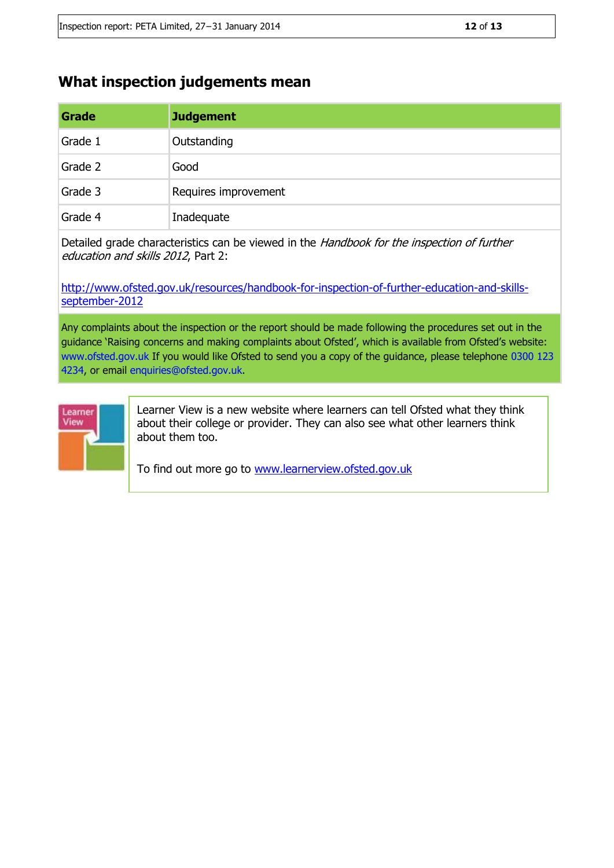### **What inspection judgements mean**

| Grade   | <b>Judgement</b>     |
|---------|----------------------|
| Grade 1 | Outstanding          |
| Grade 2 | Good                 |
| Grade 3 | Requires improvement |
| Grade 4 | Inadequate           |

Detailed grade characteristics can be viewed in the Handbook for the inspection of further education and skills 2012, Part 2:

[http://www.ofsted.gov.uk/resources/handbook-for-inspection-of-further-education-and-skills](http://www.ofsted.gov.uk/resources/handbook-for-inspection-of-further-education-and-skills-september-2012)[september-2012](http://www.ofsted.gov.uk/resources/handbook-for-inspection-of-further-education-and-skills-september-2012)

Any complaints about the inspection or the report should be made following the procedures set out in the guidance 'Raising concerns and making complaints about Ofsted', which is available from Ofsted's website: www.ofsted.gov.uk If you would like Ofsted to send you a copy of the guidance, please telephone 0300 123 4234, or email enquiries@ofsted.gov.uk.



Learner View is a new website where learners can tell Ofsted what they think about their college or provider. They can also see what other learners think about them too.

To find out more go to [www.learnerview.ofsted.gov.uk](http://www.learnerview.ofsted.gov.uk/)